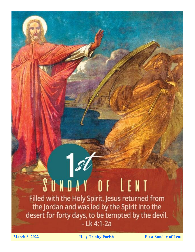# SUNDAY OF LENT

Filled with the Holy Spirit, Jesus returned from the Jordan and was led by the Spirit into the desert for forty days, to be tempted by the devil. - Lk 4:1-2a

**March 6, 2022 Holy Trinity Parish First Sunday of Lent**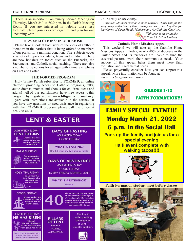#### **HOLY TRINITY PARISH MARCH 6, 2022 LIGONIER, PA**

 There is an important Community Service Meeting on Thursday, March 24th at 6:30 p.m. in the Parish Meeting Room. If you are interested in helping those less fortunate, please join us as we organize and plan for our upcoming year.

#### **NEW SELECTIONS ON OUR KIOSK**

 Please take a look at both sides of the kiosk of Catholic literature in the narthex that is being offered to members of our parish for a minimal donation. The subjects cover a variety of topics for adults, teens and children. There are new booklets on topics such as the Eucharist, the Sacraments, and Catholic social teaching. There are also a number of selections for all ages with a timely emphasis on Lent and Easter.

#### **THE FORMED PROGRAM** *www.usccb.org/homemissions.*

 Holy Trinity Parish subscribes to **FORMED**, an online platform providing access to Catholic programs, talks, audio dramas, movies and ebooks for children, teens and adults! All of our parishioners have free access to this program by registering at **www.htligonier.formed.org**. Flyers with instructions are available in the narthex. If you have any questions or need assistance in registering with the **FORMED** program, please call the office at 724-238-6434.



*To The Holy Trinity Family,*

 *Christian Mothers extends a most heartfelt Thank you for the very large collection of items during February for Layettes for Newborns of Open Hands Ministry and for Catholic Charities.*

> *With love & many thanks, Your Christian Mothers*

#### **Catholic Home Missions Appeal**

 This weekend we will take up the Catholic Home Missions Appeal. Today, nearly 40% of dioceses in the United States and its territories are unable to fund the essential pastoral work their communities need. Your support of this appeal helps them meet these faith formation and sacramental needs.

 Please prayerfully consider how you can support this appeal. More information can be found at

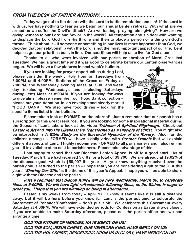### **FROM THE DESK OF FATHER ANTHONY……………………………….**

**Today we go out to the desert with the Lord to battle temptation and sin! If the Lord is with us, we have nothing to fear as we begin our annual Lenten retreat. With what are we armed as we suffer the Devil's attack? Are we fasting, praying, almsgiving? How are we giving witness to our Lord and Savior in the world? All temptation and sin deal with wanting to displace the Lord God from His throne and then to place a person or a thing on God's throne. Think about it – if someone or something in our lives is more important than God, we decided that our relationship with the Lord is not the most important aspect of our life. Lent helps us get our priorities back in line. Our sacrifices will help us to live for God alone!** 

**Thanks to all who were involved with our parish celebration of Mardi Gras last Tuesday! We had a great time and it was good to celebrate before our Lenten observances began. We will have a few pictures in next week's bulletin.** 

**If you are looking for prayer opportunities during Lent, please consider the weekly Holy Hour on Tuesdays from 3:00PM until 4:00PM, Stations of the Cross on Friday at 7:00PM, the Wednesday evening Mass at 7:00, and week day (excluding Wednesdays and including Saturdays during Lent) Mass at 8:00AM. If you are looking for ways to give alms, please remember our Food Bank collection – please put your donation in an envelope and clearly mark it "FOOD BANK." We also have food drives – look for the specific items listed in the bulletin.** 



**Please take a look at FORMED on the internet! Just a reminder that our parish has a subscription to this great resource. If you are looking for some inspirational material during the Season of Lent, take a look at the video Triduum: A Spiritual Pilgrimage. Check out Easter in Art and Into His Likeness: Be Transformed as a Disciple of Christ. You might also be interested in A Bible Study on the Sorrowful Mysteries of the Rosary. Also, for the children among us, FORMED will have a daily video with Brother Francis that will explain different aspects of Lent. I highly recommend FORMED to all parishioners and I also remind you – it is available at no cost to parishioners. Please take advantage of this.**

**I am happy to report that our Diocesan Lenten Appeal is off to a good start! As of Tuesday, March 1, we had received 5 gifts for a total of \$9,700. We are already at 19.02% of the diocesan goal, which is \$50,997 this year. As you know, anything received over the parish goal is returned to the parish – I hope that you are considering a gift to the DLA this year. "Sharing Our Gifts" is the theme of this year's Appeal. I hope you will be able to share a gift with the Diocese and the parish.**

#### **Just a reminder that Bishop Kulick will be here Wednesday, March 30, to celebrate Mass at 6:00PM. We will have light refreshments following Mass, as the Bishop is eager to greet you. I hope that you are planning on being in attendance.**

**Easter is six weeks from today – April 17. I know it seems like it is still a distance away, but it will be here before you know it. Lent is the perfect time to celebrate the Sacrament of Penance/Confession – don't put it off. We celebrate this Sacrament every Saturday at 4:00PM. We will have extended periods for Confession as Easter draws closer. If you are unable to make Saturday afternoon, please call the parish office and we can arrange a time.**

**GOD THE FATHER OF MERCIES, HAVE MERCY ON US! GOD THE SON, JESUS CHRIST, OUR NEWBORN KING, HAVE MERCY ON US! GOD THE HOLY SPIRIT, DESCENDING UPON US IN GLORY, HAVE MERCY ON US!**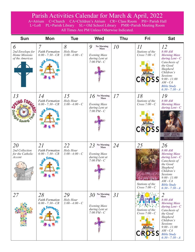## Parish Activities Calendar for March & April, 2022

A=Atrium C=Church CA=Children's Atrium CR= Class Room PH= Parish Hall L=Loft PL=Parish Library SL= Old School Library PMR=Parish Meeting Room All Times Are PM Unless Otherwise Indicated.

| <b>Sun</b>                                                 | <b>Mon</b>                                                              | <b>Tue</b>                           | <b>Wed</b>                                                                                      | <b>Thu</b> | Fri                                                                     | <b>Sat</b>                                                                                                                                                                                                                |
|------------------------------------------------------------|-------------------------------------------------------------------------|--------------------------------------|-------------------------------------------------------------------------------------------------|------------|-------------------------------------------------------------------------|---------------------------------------------------------------------------------------------------------------------------------------------------------------------------------------------------------------------------|
| 6<br>2nd Envelope for<br>Home Missions<br>of the Americas  | $\overline{7}$<br><b>Faith Formation</b><br>$6:00 - 7:30 - CR$<br>50.74 | 8<br>Holy Hour<br>$3:00 - 4:00 - C$  | 9<br><b>No Morning</b><br><b>Mass</b><br><b>Evening Mass</b><br>during Lent at<br>$7:00 PM - C$ | 10         | II<br>Stations of the<br>$Cross 7:00 - C$<br>Stations<br><b>CROSS</b>   | 12<br>8:00 AM<br><b>Morning Mass</b><br>$during$ Lent - $C$<br>Catechesis of<br>the Good<br>Shepherd<br>Children's<br>Sessions<br>$9:00 - 11:00$<br>$AM$ - $CA$<br><b>Bible Study</b><br>$6:30 - 7:30 - A$                |
| 13<br><b><i><u><i><u><b>Sht Saving</b></u></i></u></i></b> | 14<br><b>Faith Formation</b><br>$6:00 - 7:30 - CR$                      | 15<br>Holy Hour<br>$3:00 - 4:00 - C$ | 16<br>No Morning<br>Mass<br><b>Evening Mass</b><br>during Lent at<br>$7:00 PM - C$              | 17         | 18<br>Stations of the<br>$Cross 7:00 - C$<br>Stations<br><b>CROSS</b>   | 19<br>8:00 AM<br><b>Morning Mass</b><br>$during$ Lent - $C$<br>SPOUSE OF THE BLESSED VIRGIN MARY                                                                                                                          |
| 20<br>2nd Collection<br>for the Catholic<br>Accent         | 2I<br><b>Faith Formation</b><br>$6:00 - 7:30 - CR$                      | 22<br>Holy Hour<br>$3:00 - 4:00 - C$ | 23<br>No Morning<br>Mass<br><b>Evening Mass</b><br>during Lent at<br>$7:00\,\overline{P}M - C$  | 24         | 25<br>mnunciation<br>OF THE LORD<br>Stations of the<br>$Cross 7:00 - C$ | 26<br>8:00 AM<br><b>Morning Mass</b><br>during Lent - $C$<br>Catechesis of<br>the Good<br>Shepherd<br>Children's<br>Sessions<br>$9:00 - 11:00$<br>$AM - CA$<br><b>Bible Study</b><br>$6:30 - 7:30 - A$                    |
| 27                                                         | 28<br><b>Faith Formation</b><br>$6:00 - 7:30 - CR$<br>Fora              | 29<br>Holy Hour<br>$3:00 - 4:00 - C$ | No Morning<br>Mass<br><i>30</i><br><b>Evening Mass</b><br>during Lent at<br>$7:00 PM - C$       | 31         | Stations of the<br>$Cross 7:00 - C$<br>Stations<br><b>CROSS</b>         | $\overline{2}$<br>8:00 AM<br><b>Morning Mass</b><br>during Lent - $C$<br>Catechesis of<br>the Good<br>Shepherd<br>Children's<br><b>Sessions</b><br>$9:00 - 11:00$<br>$AM - CA$<br><b>Bible Study</b><br>$6:30 - 7:30 - A$ |